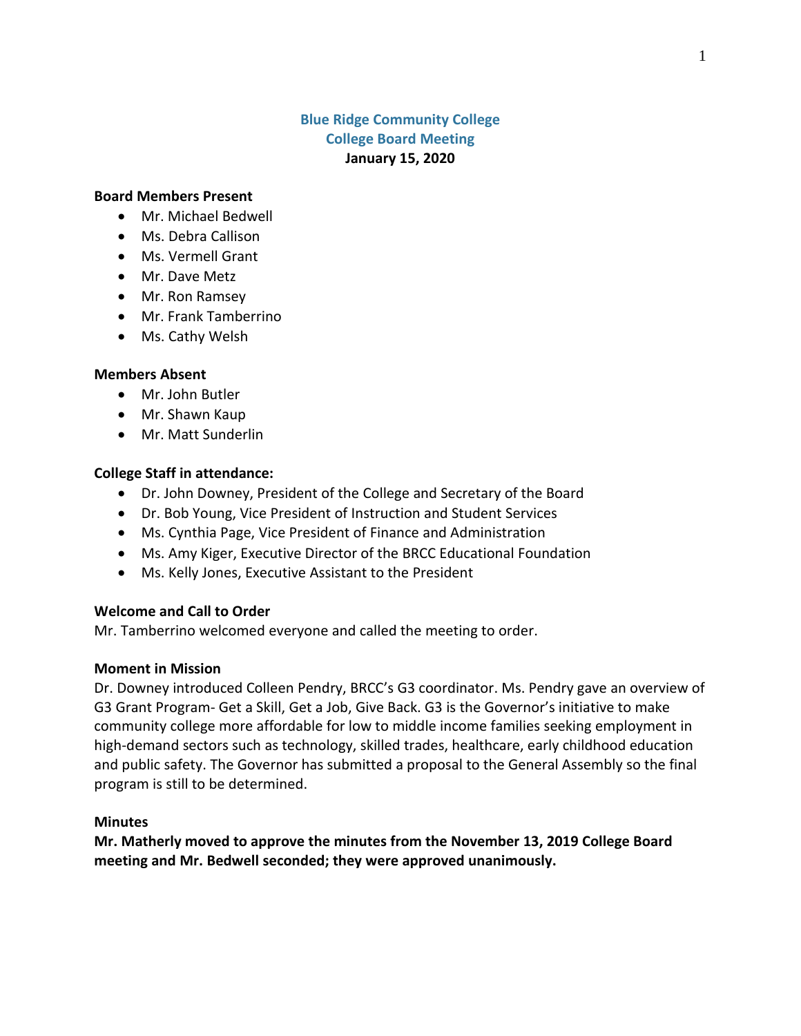# **Blue Ridge Community College College Board Meeting January 15, 2020**

#### **Board Members Present**

- Mr. Michael Bedwell
- Ms. Debra Callison
- Ms. Vermell Grant
- Mr. Dave Metz
- Mr. Ron Ramsey
- Mr. Frank Tamberrino
- Ms. Cathy Welsh

#### **Members Absent**

- Mr. John Butler
- Mr. Shawn Kaup
- Mr. Matt Sunderlin

#### **College Staff in attendance:**

- Dr. John Downey, President of the College and Secretary of the Board
- Dr. Bob Young, Vice President of Instruction and Student Services
- Ms. Cynthia Page, Vice President of Finance and Administration
- Ms. Amy Kiger, Executive Director of the BRCC Educational Foundation
- Ms. Kelly Jones, Executive Assistant to the President

### **Welcome and Call to Order**

Mr. Tamberrino welcomed everyone and called the meeting to order.

#### **Moment in Mission**

Dr. Downey introduced Colleen Pendry, BRCC's G3 coordinator. Ms. Pendry gave an overview of G3 Grant Program- Get a Skill, Get a Job, Give Back. G3 is the Governor's initiative to make community college more affordable for low to middle income families seeking employment in high-demand sectors such as technology, skilled trades, healthcare, early childhood education and public safety. The Governor has submitted a proposal to the General Assembly so the final program is still to be determined.

#### **Minutes**

**Mr. Matherly moved to approve the minutes from the November 13, 2019 College Board meeting and Mr. Bedwell seconded; they were approved unanimously.**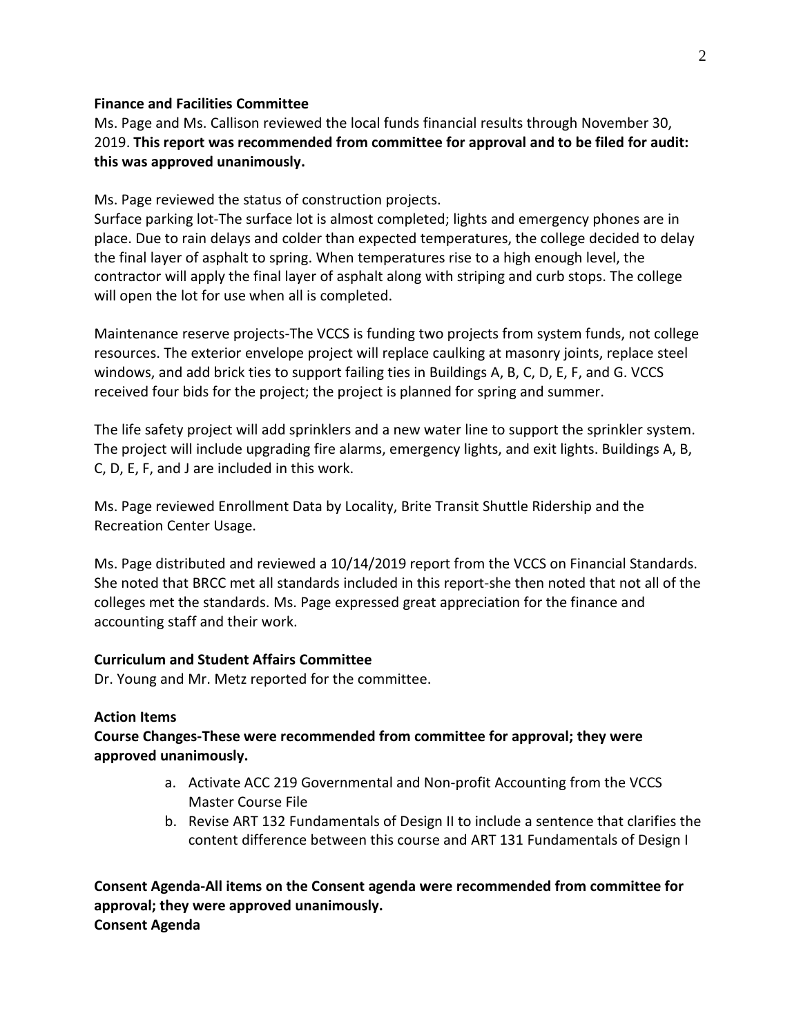### **Finance and Facilities Committee**

Ms. Page and Ms. Callison reviewed the local funds financial results through November 30, 2019. **This report was recommended from committee for approval and to be filed for audit: this was approved unanimously.**

Ms. Page reviewed the status of construction projects.

Surface parking lot-The surface lot is almost completed; lights and emergency phones are in place. Due to rain delays and colder than expected temperatures, the college decided to delay the final layer of asphalt to spring. When temperatures rise to a high enough level, the contractor will apply the final layer of asphalt along with striping and curb stops. The college will open the lot for use when all is completed.

Maintenance reserve projects-The VCCS is funding two projects from system funds, not college resources. The exterior envelope project will replace caulking at masonry joints, replace steel windows, and add brick ties to support failing ties in Buildings A, B, C, D, E, F, and G. VCCS received four bids for the project; the project is planned for spring and summer.

The life safety project will add sprinklers and a new water line to support the sprinkler system. The project will include upgrading fire alarms, emergency lights, and exit lights. Buildings A, B, C, D, E, F, and J are included in this work.

Ms. Page reviewed Enrollment Data by Locality, Brite Transit Shuttle Ridership and the Recreation Center Usage.

Ms. Page distributed and reviewed a 10/14/2019 report from the VCCS on Financial Standards. She noted that BRCC met all standards included in this report-she then noted that not all of the colleges met the standards. Ms. Page expressed great appreciation for the finance and accounting staff and their work.

## **Curriculum and Student Affairs Committee**

Dr. Young and Mr. Metz reported for the committee.

#### **Action Items**

# **Course Changes-These were recommended from committee for approval; they were approved unanimously.**

- a. Activate ACC 219 Governmental and Non-profit Accounting from the VCCS Master Course File
- b. Revise ART 132 Fundamentals of Design II to include a sentence that clarifies the content difference between this course and ART 131 Fundamentals of Design I

**Consent Agenda-All items on the Consent agenda were recommended from committee for approval; they were approved unanimously. Consent Agenda**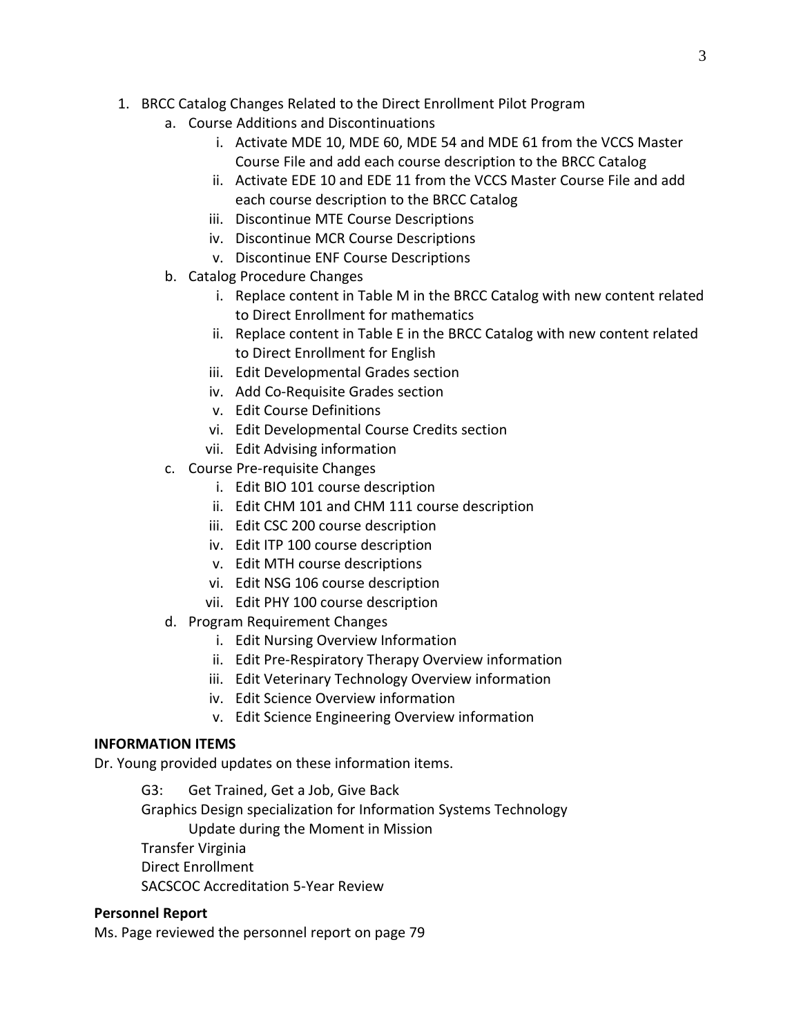- 1. BRCC Catalog Changes Related to the Direct Enrollment Pilot Program
	- a. Course Additions and Discontinuations
		- i. Activate MDE 10, MDE 60, MDE 54 and MDE 61 from the VCCS Master Course File and add each course description to the BRCC Catalog
		- ii. Activate EDE 10 and EDE 11 from the VCCS Master Course File and add each course description to the BRCC Catalog
		- iii. Discontinue MTE Course Descriptions
		- iv. Discontinue MCR Course Descriptions
		- v. Discontinue ENF Course Descriptions
	- b. Catalog Procedure Changes
		- i. Replace content in Table M in the BRCC Catalog with new content related to Direct Enrollment for mathematics
		- ii. Replace content in Table E in the BRCC Catalog with new content related to Direct Enrollment for English
		- iii. Edit Developmental Grades section
		- iv. Add Co-Requisite Grades section
		- v. Edit Course Definitions
		- vi. Edit Developmental Course Credits section
		- vii. Edit Advising information
	- c. Course Pre-requisite Changes
		- i. Edit BIO 101 course description
		- ii. Edit CHM 101 and CHM 111 course description
		- iii. Edit CSC 200 course description
		- iv. Edit ITP 100 course description
		- v. Edit MTH course descriptions
		- vi. Edit NSG 106 course description
		- vii. Edit PHY 100 course description
	- d. Program Requirement Changes
		- i. Edit Nursing Overview Information
		- ii. Edit Pre-Respiratory Therapy Overview information
		- iii. Edit Veterinary Technology Overview information
		- iv. Edit Science Overview information
		- v. Edit Science Engineering Overview information

# **INFORMATION ITEMS**

Dr. Young provided updates on these information items.

G3: Get Trained, Get a Job, Give Back Graphics Design specialization for Information Systems Technology Update during the Moment in Mission Transfer Virginia Direct Enrollment

SACSCOC Accreditation 5-Year Review

# **Personnel Report**

Ms. Page reviewed the personnel report on page 79